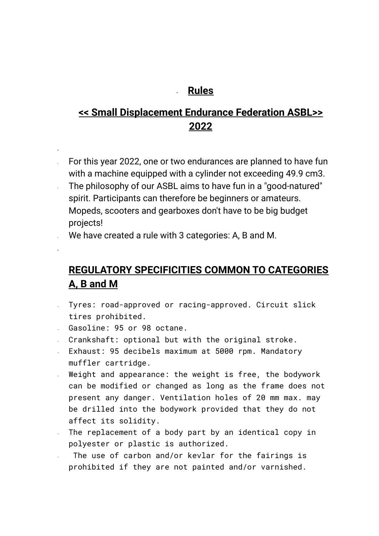## - **Rules**

## **<< Small Displacement Endurance Federation ASBL>> 2022**

- For this year 2022, one or two endurances are planned to have fun with a machine equipped with a cylinder not exceeding 49.9 cm3.
- The philosophy of our ASBL aims to have fun in a "good-natured" spirit. Participants can therefore be beginners or amateurs. Mopeds, scooters and gearboxes don't have to be big budget projects!

We have created a rule with 3 categories: A, B and M.

# **REGULATORY SPECIFICITIES COMMON TO CATEGORIES A, B and M**

- Tyres: road-approved or racing-approved. Circuit slick tires prohibited.
- Gasoline: 95 or 98 octane.

-

-

- Crankshaft: optional but with the original stroke.
- Exhaust: 95 decibels maximum at 5000 rpm. Mandatory muffler cartridge.
- Weight and appearance: the weight is free, the bodywork can be modified or changed as long as the frame does not present any danger. Ventilation holes of 20 mm max. may be drilled into the bodywork provided that they do not affect its solidity.
- The replacement of a body part by an identical copy in polyester or plastic is authorized.
- The use of carbon and/or kevlar for the fairings is prohibited if they are not painted and/or varnished.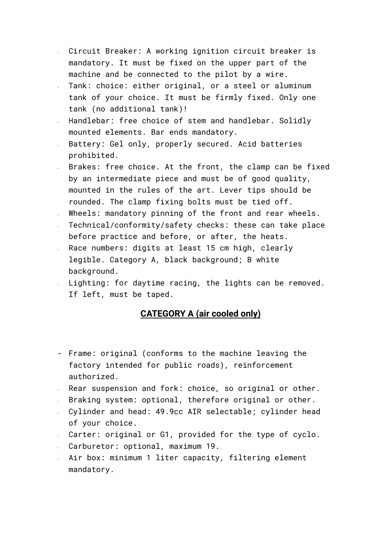- Circuit Breaker: A working ignition circuit breaker is mandatory. It must be fixed on the upper part of the machine and be connected to the pilot by a wire.
- Tank: choice: either original, or a steel or aluminum tank of your choice. It must be firmly fixed. Only one tank (no additional tank)!
- Handlebar: free choice of stem and handlebar. Solidly mounted elements. Bar ends mandatory.
- Battery: Gel only, properly secured. Acid batteries prohibited.
- Brakes: free choice. At the front, the clamp can be fixed by an intermediate piece and must be of good quality, mounted in the rules of the art. Lever tips should be rounded. The clamp fixing bolts must be tied off.
- Wheels: mandatory pinning of the front and rear wheels.
- Technical/conformity/safety checks: these can take place before practice and before, or after, the heats.
- Race numbers: digits at least 15 cm high, clearly legible. Category A, black background; B white background.
- Lighting: for daytime racing, the lights can be removed. If left, must be taped.

### **CATEGORY A (air cooled only)**

- Frame: original (conforms to the machine leaving the factory intended for public roads), reinforcement authorized.
- Rear suspension and fork: choice, so original or other.
- Braking system: optional, therefore original or other.
- Cylinder and head: 49.9cc AIR selectable; cylinder head of your choice.
- Carter: original or G1, provided for the type of cyclo.
- Carburetor: optional, maximum 19.
- Air box: minimum 1 liter capacity, filtering element mandatory.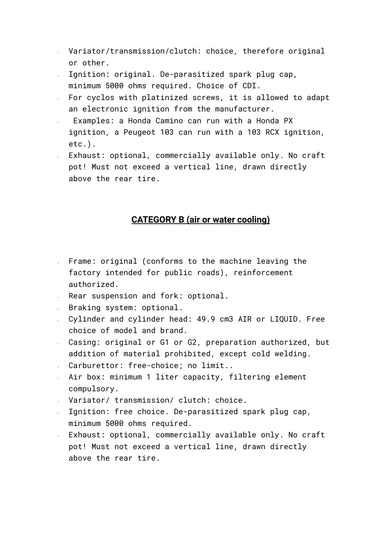- Variator/transmission/clutch: choice, therefore original or other.
- Ignition: original. De-parasitized spark plug cap, minimum 5000 ohms required. Choice of CDI.
- For cyclos with platinized screws, it is allowed to adapt an electronic ignition from the manufacturer.
- Examples: a Honda Camino can run with a Honda PX ignition, a Peugeot 103 can run with a 103 RCX ignition, etc.).
- Exhaust: optional, commercially available only. No craft pot! Must not exceed a vertical line, drawn directly above the rear tire.

#### **CATEGORY B (air or water cooling)**

- Frame: original (conforms to the machine leaving the factory intended for public roads), reinforcement authorized.
- Rear suspension and fork: optional.
- Braking system: optional.
- Cylinder and cylinder head: 49.9 cm3 AIR or LIQUID. Free choice of model and brand.
- Casing: original or G1 or G2, preparation authorized, but addition of material prohibited, except cold welding.
- Carburettor: free-choice; no limit..
- Air box: minimum 1 liter capacity, filtering element compulsory.
- Variator/ transmission/ clutch: choice.
- Ignition: free choice. De-parasitized spark plug cap, minimum 5000 ohms required.
- Exhaust: optional, commercially available only. No craft pot! Must not exceed a vertical line, drawn directly above the rear tire.